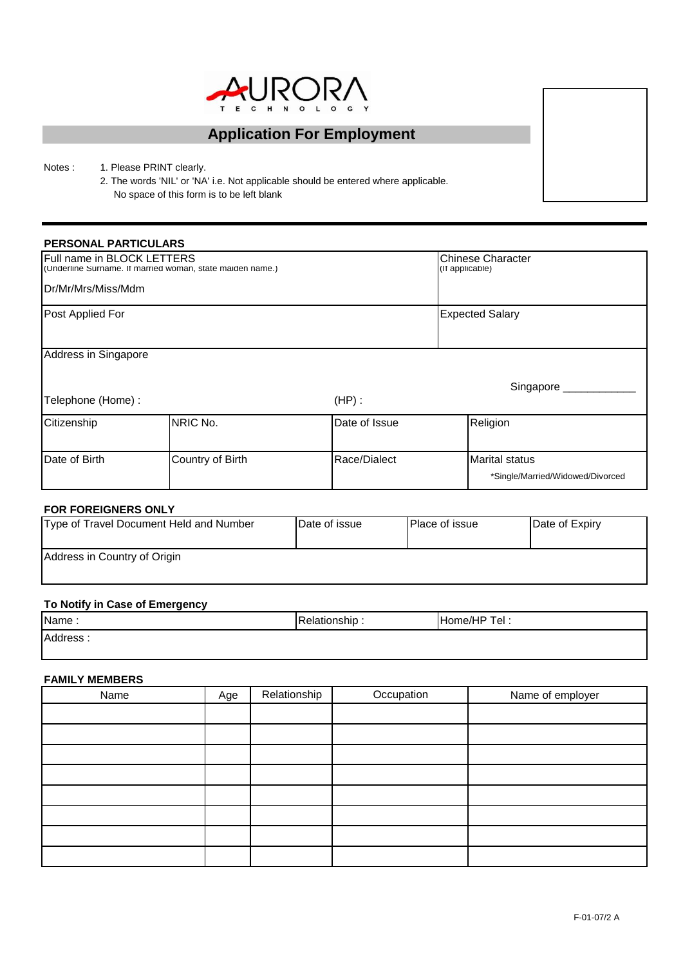

# **Application For Employment**

Notes : 1. Please PRINT clearly.

2. The words 'NIL' or 'NA' i.e. Not applicable should be entered where applicable. No space of this form is to be left blank

#### **PERSONAL PARTICULARS**

| Full name in BLOCK LETTERS                 | (Underline Surname. It married woman, state maiden name.) | <b>Chinese Character</b><br>(If applicable) |                                                           |  |
|--------------------------------------------|-----------------------------------------------------------|---------------------------------------------|-----------------------------------------------------------|--|
| Dr/Mr/Mrs/Miss/Mdm                         |                                                           |                                             |                                                           |  |
| Post Applied For                           |                                                           |                                             | <b>Expected Salary</b>                                    |  |
| Address in Singapore<br>Telephone (Home) : |                                                           | $(HP)$ :                                    | Singapore _                                               |  |
| Citizenship                                | NRIC No.                                                  | Date of Issue                               | Religion                                                  |  |
| Date of Birth                              | Country of Birth                                          | Race/Dialect                                | <b>Marital status</b><br>*Single/Married/Widowed/Divorced |  |

#### **FOR FOREIGNERS ONLY**

| Type of Travel Document Held and Number | Date of issue | <b>Place of issue</b> | Date of Expiry |  |
|-----------------------------------------|---------------|-----------------------|----------------|--|
| Address in Country of Origin            |               |                       |                |  |

# **To Notify in Case of Emergency**

| Name:    | elationship | <b>IHome/HP</b><br>Tel. |
|----------|-------------|-------------------------|
| Address: |             |                         |

#### **FAMILY MEMBERS**

| Name | Age | Relationship | Occupation | Name of employer |
|------|-----|--------------|------------|------------------|
|      |     |              |            |                  |
|      |     |              |            |                  |
|      |     |              |            |                  |
|      |     |              |            |                  |
|      |     |              |            |                  |
|      |     |              |            |                  |
|      |     |              |            |                  |
|      |     |              |            |                  |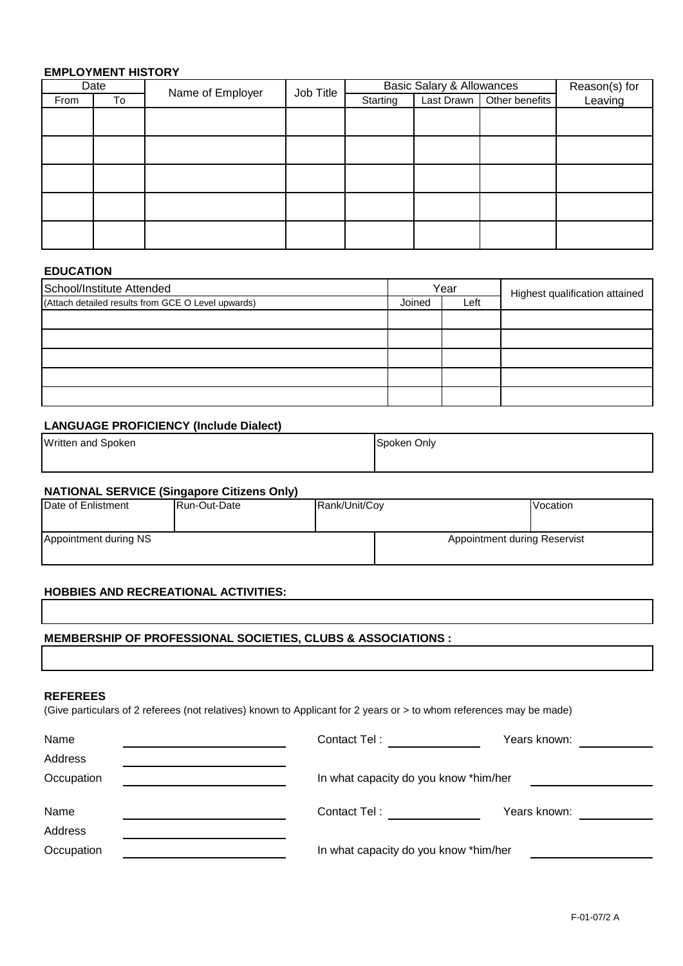## **EMPLOYMENT HISTORY**

|      | Date | Name of Employer | Job Title | <b>Basic Salary &amp; Allowances</b> |  | Reason(s) for               |         |
|------|------|------------------|-----------|--------------------------------------|--|-----------------------------|---------|
| From | To   |                  |           | Starting                             |  | Last Drawn   Other benefits | Leaving |
|      |      |                  |           |                                      |  |                             |         |
|      |      |                  |           |                                      |  |                             |         |
|      |      |                  |           |                                      |  |                             |         |
|      |      |                  |           |                                      |  |                             |         |
|      |      |                  |           |                                      |  |                             |         |
|      |      |                  |           |                                      |  |                             |         |
|      |      |                  |           |                                      |  |                             |         |
|      |      |                  |           |                                      |  |                             |         |
|      |      |                  |           |                                      |  |                             |         |
|      |      |                  |           |                                      |  |                             |         |

## **EDUCATION**

| School/Institute Attended                          |                | Year | Highest qualification attained |  |
|----------------------------------------------------|----------------|------|--------------------------------|--|
| (Attach detailed results from GCE O Level upwards) | Joined<br>Left |      |                                |  |
|                                                    |                |      |                                |  |
|                                                    |                |      |                                |  |
|                                                    |                |      |                                |  |
|                                                    |                |      |                                |  |
|                                                    |                |      |                                |  |

## **LANGUAGE PROFICIENCY (Include Dialect)**

| Written and Spoken | Spoken Only |  |  |
|--------------------|-------------|--|--|
|                    |             |  |  |

## **NATIONAL SERVICE (Singapore Citizens Only)**

| Date of Enlistment    | Run-Out-Date | Rank/Unit/Cov | Vocation                     |  |  |
|-----------------------|--------------|---------------|------------------------------|--|--|
|                       |              |               |                              |  |  |
| Appointment during NS |              |               | Appointment during Reservist |  |  |
|                       |              |               |                              |  |  |

#### **HOBBIES AND RECREATIONAL ACTIVITIES:**

## **MEMBERSHIP OF PROFESSIONAL SOCIETIES, CLUBS & ASSOCIATIONS :**

#### **REFEREES**

(Give particulars of 2 referees (not relatives) known to Applicant for 2 years or > to whom references may be made)

| Name       | Contact Tel:                          | Years known: |
|------------|---------------------------------------|--------------|
| Address    |                                       |              |
| Occupation | In what capacity do you know *him/her |              |
|            |                                       |              |
| Name       | Contact Tel:                          | Years known: |
| Address    |                                       |              |
| Occupation | In what capacity do you know *him/her |              |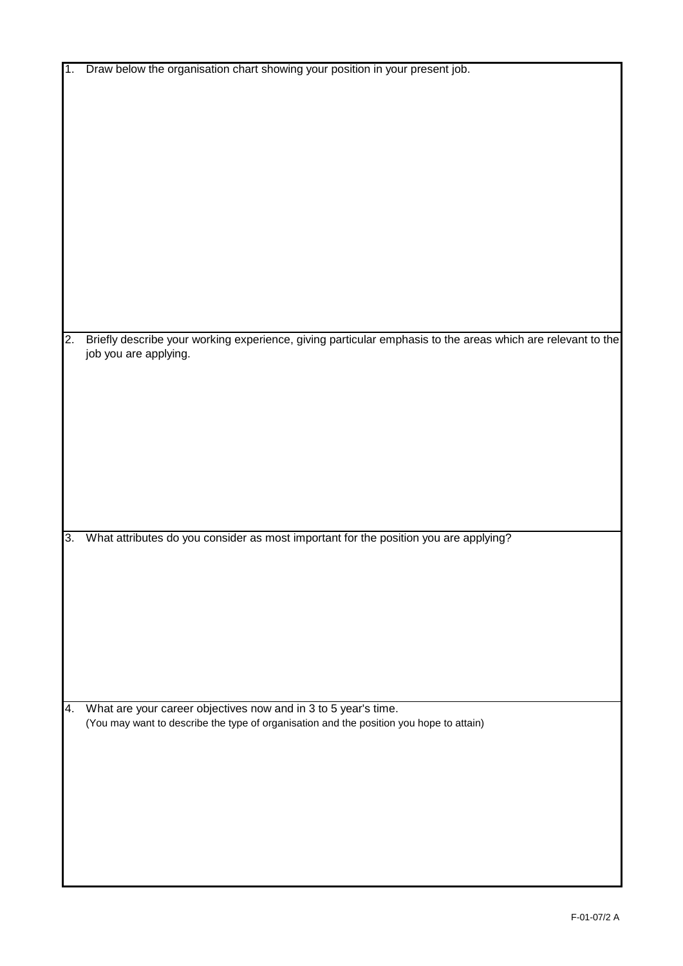| $\mathbf 1$ . | Draw below the organisation chart showing your position in your present job.                                |
|---------------|-------------------------------------------------------------------------------------------------------------|
|               |                                                                                                             |
|               |                                                                                                             |
|               |                                                                                                             |
|               |                                                                                                             |
|               |                                                                                                             |
|               |                                                                                                             |
|               |                                                                                                             |
|               |                                                                                                             |
|               |                                                                                                             |
|               |                                                                                                             |
|               |                                                                                                             |
|               |                                                                                                             |
|               |                                                                                                             |
|               |                                                                                                             |
|               |                                                                                                             |
|               |                                                                                                             |
| 2.            | Briefly describe your working experience, giving particular emphasis to the areas which are relevant to the |
|               | job you are applying.                                                                                       |
|               |                                                                                                             |
|               |                                                                                                             |
|               |                                                                                                             |
|               |                                                                                                             |
|               |                                                                                                             |
|               |                                                                                                             |
|               |                                                                                                             |
|               |                                                                                                             |
|               |                                                                                                             |
|               |                                                                                                             |
|               |                                                                                                             |
| c             | What attributes do you consider as most important for the position you are applying?                        |
|               |                                                                                                             |
|               |                                                                                                             |
|               |                                                                                                             |
|               |                                                                                                             |
|               |                                                                                                             |
|               |                                                                                                             |
|               |                                                                                                             |
|               |                                                                                                             |
|               |                                                                                                             |
|               |                                                                                                             |
| 4.            | What are your career objectives now and in 3 to 5 year's time.                                              |
|               | (You may want to describe the type of organisation and the position you hope to attain)                     |
|               |                                                                                                             |
|               |                                                                                                             |
|               |                                                                                                             |
|               |                                                                                                             |
|               |                                                                                                             |
|               |                                                                                                             |
|               |                                                                                                             |
|               |                                                                                                             |
|               |                                                                                                             |
|               |                                                                                                             |
|               |                                                                                                             |